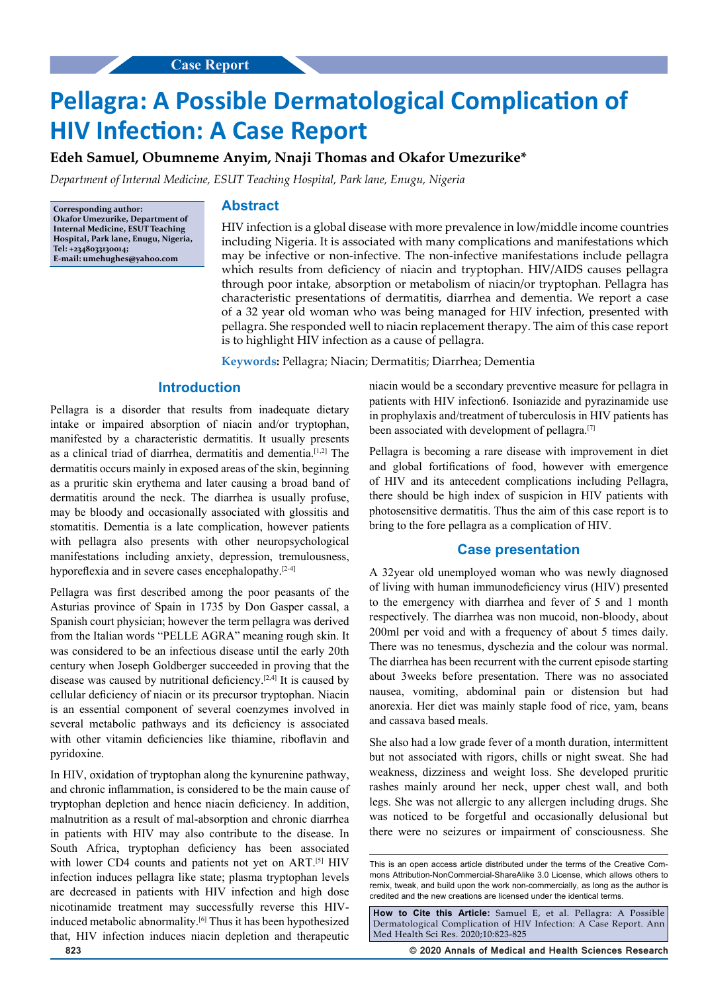# **Pellagra: A Possible Dermatological Complication of HIV Infection: A Case Report**

**Edeh Samuel, Obumneme Anyim, Nnaji Thomas and Okafor Umezurike\***

*Department of Internal Medicine, ESUT Teaching Hospital, Park lane, Enugu, Nigeria*

**Corresponding author: Okafor Umezurike, Department of Internal Medicine, ESUT Teaching Hospital, Park lane, Enugu, Nigeria, Tel: +2348033130014; E-mail: umehughes@yahoo.com**

### **Abstract**

HIV infection is a global disease with more prevalence in low/middle income countries including Nigeria. It is associated with many complications and manifestations which may be infective or non-infective. The non-infective manifestations include pellagra which results from deficiency of niacin and tryptophan. HIV/AIDS causes pellagra through poor intake, absorption or metabolism of niacin/or tryptophan. Pellagra has characteristic presentations of dermatitis, diarrhea and dementia. We report a case of a 32 year old woman who was being managed for HIV infection, presented with pellagra. She responded well to niacin replacement therapy. The aim of this case report is to highlight HIV infection as a cause of pellagra.

**Keywords:** Pellagra; Niacin; Dermatitis; Diarrhea; Dementia

# **Introduction**

Pellagra is a disorder that results from inadequate dietary intake or impaired absorption of niacin and/or tryptophan, manifested by a characteristic dermatitis. It usually presents as a clinical triad of diarrhea, dermatitis and dementia.[1,2] The dermatitis occurs mainly in exposed areas of the skin, beginning as a pruritic skin erythema and later causing a broad band of dermatitis around the neck. The diarrhea is usually profuse, may be bloody and occasionally associated with glossitis and stomatitis. Dementia is a late complication, however patients with pellagra also presents with other neuropsychological manifestations including anxiety, depression, tremulousness, hyporeflexia and in severe cases encephalopathy.<sup>[2-4]</sup>

Pellagra was first described among the poor peasants of the Asturias province of Spain in 1735 by Don Gasper cassal, a Spanish court physician; however the term pellagra was derived from the Italian words "PELLE AGRA" meaning rough skin. It was considered to be an infectious disease until the early 20th century when Joseph Goldberger succeeded in proving that the disease was caused by nutritional deficiency.[2,4] It is caused by cellular deficiency of niacin or its precursor tryptophan. Niacin is an essential component of several coenzymes involved in several metabolic pathways and its deficiency is associated with other vitamin deficiencies like thiamine, riboflavin and pyridoxine.

In HIV, oxidation of tryptophan along the kynurenine pathway, and chronic inflammation, is considered to be the main cause of tryptophan depletion and hence niacin deficiency. In addition, malnutrition as a result of mal-absorption and chronic diarrhea in patients with HIV may also contribute to the disease. In South Africa, tryptophan deficiency has been associated with lower CD4 counts and patients not yet on ART.<sup>[5]</sup> HIV infection induces pellagra like state; plasma tryptophan levels are decreased in patients with HIV infection and high dose nicotinamide treatment may successfully reverse this HIVinduced metabolic abnormality.<sup>[6]</sup> Thus it has been hypothesized that, HIV infection induces niacin depletion and therapeutic

niacin would be a secondary preventive measure for pellagra in patients with HIV infection6. Isoniazide and pyrazinamide use in prophylaxis and/treatment of tuberculosis in HIV patients has been associated with development of pellagra.[7]

Pellagra is becoming a rare disease with improvement in diet and global fortifications of food, however with emergence of HIV and its antecedent complications including Pellagra, there should be high index of suspicion in HIV patients with photosensitive dermatitis. Thus the aim of this case report is to bring to the fore pellagra as a complication of HIV.

## **Case presentation**

A 32year old unemployed woman who was newly diagnosed of living with human immunodeficiency virus (HIV) presented to the emergency with diarrhea and fever of 5 and 1 month respectively. The diarrhea was non mucoid, non-bloody, about 200ml per void and with a frequency of about 5 times daily. There was no tenesmus, dyschezia and the colour was normal. The diarrhea has been recurrent with the current episode starting about 3weeks before presentation. There was no associated nausea, vomiting, abdominal pain or distension but had anorexia. Her diet was mainly staple food of rice, yam, beans and cassava based meals.

She also had a low grade fever of a month duration, intermittent but not associated with rigors, chills or night sweat. She had weakness, dizziness and weight loss. She developed pruritic rashes mainly around her neck, upper chest wall, and both legs. She was not allergic to any allergen including drugs. She was noticed to be forgetful and occasionally delusional but there were no seizures or impairment of consciousness. She

**How to Cite this Article:** Samuel E, et al. Pellagra: A Possible Dermatological Complication of HIV Infection: A Case Report. Ann Med Health Sci Res. 2020;10:823-825

**823 © 2020 Annals of Medical and Health Sciences Research** 

This is an open access article distributed under the terms of the Creative Commons Attribution‑NonCommercial‑ShareAlike 3.0 License, which allows others to remix, tweak, and build upon the work non‑commercially, as long as the author is credited and the new creations are licensed under the identical terms.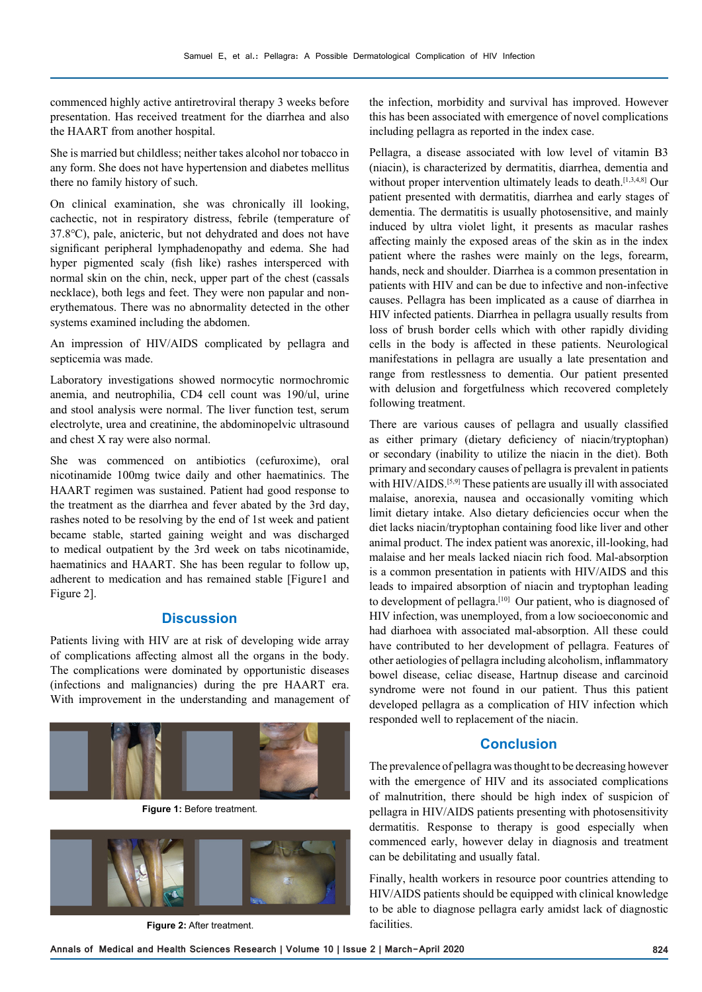commenced highly active antiretroviral therapy 3 weeks before presentation. Has received treatment for the diarrhea and also the HAART from another hospital.

She is married but childless; neither takes alcohol nor tobacco in any form. She does not have hypertension and diabetes mellitus there no family history of such.

On clinical examination, she was chronically ill looking, cachectic, not in respiratory distress, febrile (temperature of 37.8℃), pale, anicteric, but not dehydrated and does not have significant peripheral lymphadenopathy and edema. She had hyper pigmented scaly (fish like) rashes intersperced with normal skin on the chin, neck, upper part of the chest (cassals necklace), both legs and feet. They were non papular and nonerythematous. There was no abnormality detected in the other systems examined including the abdomen.

An impression of HIV/AIDS complicated by pellagra and septicemia was made.

Laboratory investigations showed normocytic normochromic anemia, and neutrophilia, CD4 cell count was 190/ul, urine and stool analysis were normal. The liver function test, serum electrolyte, urea and creatinine, the abdominopelvic ultrasound and chest X ray were also normal.

She was commenced on antibiotics (cefuroxime), oral nicotinamide 100mg twice daily and other haematinics. The HAART regimen was sustained. Patient had good response to the treatment as the diarrhea and fever abated by the 3rd day, rashes noted to be resolving by the end of 1st week and patient became stable, started gaining weight and was discharged to medical outpatient by the 3rd week on tabs nicotinamide, haematinics and HAART. She has been regular to follow up, adherent to medication and has remained stable [Figure1 and Figure 2].

# **Discussion**

Patients living with HIV are at risk of developing wide array of complications affecting almost all the organs in the body. The complications were dominated by opportunistic diseases (infections and malignancies) during the pre HAART era. With improvement in the understanding and management of



**Figure 1:** Before treatment.



**Figure 2:** After treatment.

the infection, morbidity and survival has improved. However this has been associated with emergence of novel complications including pellagra as reported in the index case.

Pellagra, a disease associated with low level of vitamin B3 (niacin), is characterized by dermatitis, diarrhea, dementia and without proper intervention ultimately leads to death.<sup>[1,3,4,8]</sup> Our patient presented with dermatitis, diarrhea and early stages of dementia. The dermatitis is usually photosensitive, and mainly induced by ultra violet light, it presents as macular rashes affecting mainly the exposed areas of the skin as in the index patient where the rashes were mainly on the legs, forearm, hands, neck and shoulder. Diarrhea is a common presentation in patients with HIV and can be due to infective and non-infective causes. Pellagra has been implicated as a cause of diarrhea in HIV infected patients. Diarrhea in pellagra usually results from loss of brush border cells which with other rapidly dividing cells in the body is affected in these patients. Neurological manifestations in pellagra are usually a late presentation and range from restlessness to dementia. Our patient presented with delusion and forgetfulness which recovered completely following treatment.

There are various causes of pellagra and usually classified as either primary (dietary deficiency of niacin/tryptophan) or secondary (inability to utilize the niacin in the diet). Both primary and secondary causes of pellagra is prevalent in patients with HIV/AIDS.<sup>[5,9]</sup> These patients are usually ill with associated malaise, anorexia, nausea and occasionally vomiting which limit dietary intake. Also dietary deficiencies occur when the diet lacks niacin/tryptophan containing food like liver and other animal product. The index patient was anorexic, ill-looking, had malaise and her meals lacked niacin rich food. Mal-absorption is a common presentation in patients with HIV/AIDS and this leads to impaired absorption of niacin and tryptophan leading to development of pellagra.[10] Our patient, who is diagnosed of HIV infection, was unemployed, from a low socioeconomic and had diarhoea with associated mal-absorption. All these could have contributed to her development of pellagra. Features of other aetiologies of pellagra including alcoholism, inflammatory bowel disease, celiac disease, Hartnup disease and carcinoid syndrome were not found in our patient. Thus this patient developed pellagra as a complication of HIV infection which responded well to replacement of the niacin.

# **Conclusion**

The prevalence of pellagra was thought to be decreasing however with the emergence of HIV and its associated complications of malnutrition, there should be high index of suspicion of pellagra in HIV/AIDS patients presenting with photosensitivity dermatitis. Response to therapy is good especially when commenced early, however delay in diagnosis and treatment can be debilitating and usually fatal.

Finally, health workers in resource poor countries attending to HIV/AIDS patients should be equipped with clinical knowledge to be able to diagnose pellagra early amidst lack of diagnostic facilities.